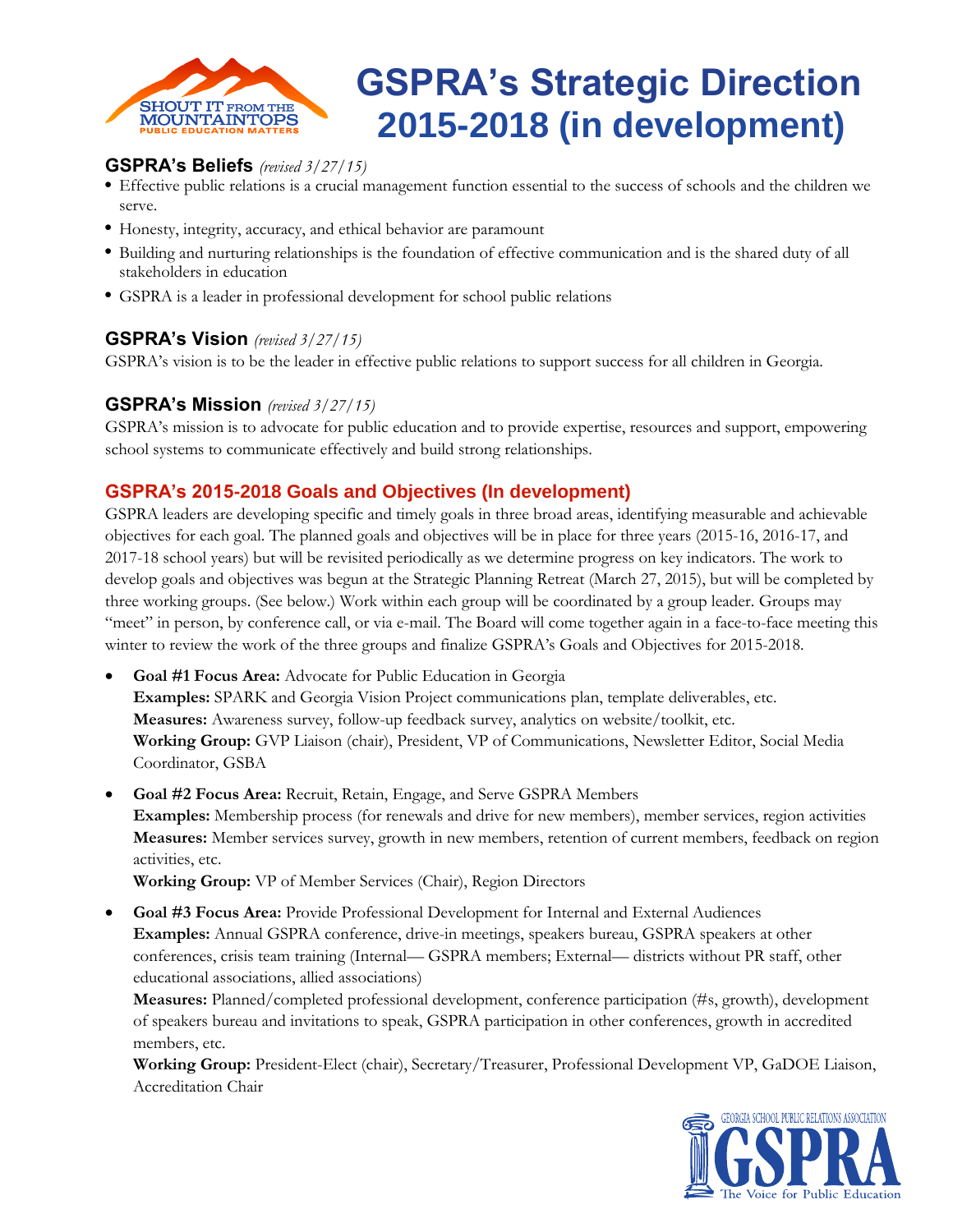

# **GSPRA's Strategic Direction 2015-2018 (in development)**

# **GSPRA's Beliefs** *(revised 3/27/15)*

- Effective public relations is a crucial management function essential to the success of schools and the children we serve.
- Honesty, integrity, accuracy, and ethical behavior are paramount
- Building and nurturing relationships is the foundation of effective communication and is the shared duty of all stakeholders in education
- GSPRA is a leader in professional development for school public relations

## **GSPRA's Vision** *(revised 3/27/15)*

GSPRA's vision is to be the leader in effective public relations to support success for all children in Georgia.

## **GSPRA's Mission** *(revised 3/27/15)*

GSPRA's mission is to advocate for public education and to provide expertise, resources and support, empowering school systems to communicate effectively and build strong relationships.

## **GSPRA's 2015-2018 Goals and Objectives (In development)**

GSPRA leaders are developing specific and timely goals in three broad areas, identifying measurable and achievable objectives for each goal. The planned goals and objectives will be in place for three years (2015-16, 2016-17, and 2017-18 school years) but will be revisited periodically as we determine progress on key indicators. The work to develop goals and objectives was begun at the Strategic Planning Retreat (March 27, 2015), but will be completed by three working groups. (See below.) Work within each group will be coordinated by a group leader. Groups may "meet" in person, by conference call, or via e-mail. The Board will come together again in a face-to-face meeting this winter to review the work of the three groups and finalize GSPRA's Goals and Objectives for 2015-2018.

- **Goal #1 Focus Area:** Advocate for Public Education in Georgia **Examples:** SPARK and Georgia Vision Project communications plan, template deliverables, etc. **Measures:** Awareness survey, follow-up feedback survey, analytics on website/toolkit, etc. **Working Group:** GVP Liaison (chair), President, VP of Communications, Newsletter Editor, Social Media Coordinator, GSBA
- **Goal #2 Focus Area:** Recruit, Retain, Engage, and Serve GSPRA Members **Examples:** Membership process (for renewals and drive for new members), member services, region activities **Measures:** Member services survey, growth in new members, retention of current members, feedback on region activities, etc.

**Working Group:** VP of Member Services (Chair), Region Directors

 **Goal #3 Focus Area:** Provide Professional Development for Internal and External Audiences **Examples:** Annual GSPRA conference, drive-in meetings, speakers bureau, GSPRA speakers at other conferences, crisis team training (Internal— GSPRA members; External— districts without PR staff, other educational associations, allied associations)

**Measures:** Planned/completed professional development, conference participation (#s, growth), development of speakers bureau and invitations to speak, GSPRA participation in other conferences, growth in accredited members, etc.

**Working Group:** President-Elect (chair), Secretary/Treasurer, Professional Development VP, GaDOE Liaison, Accreditation Chair